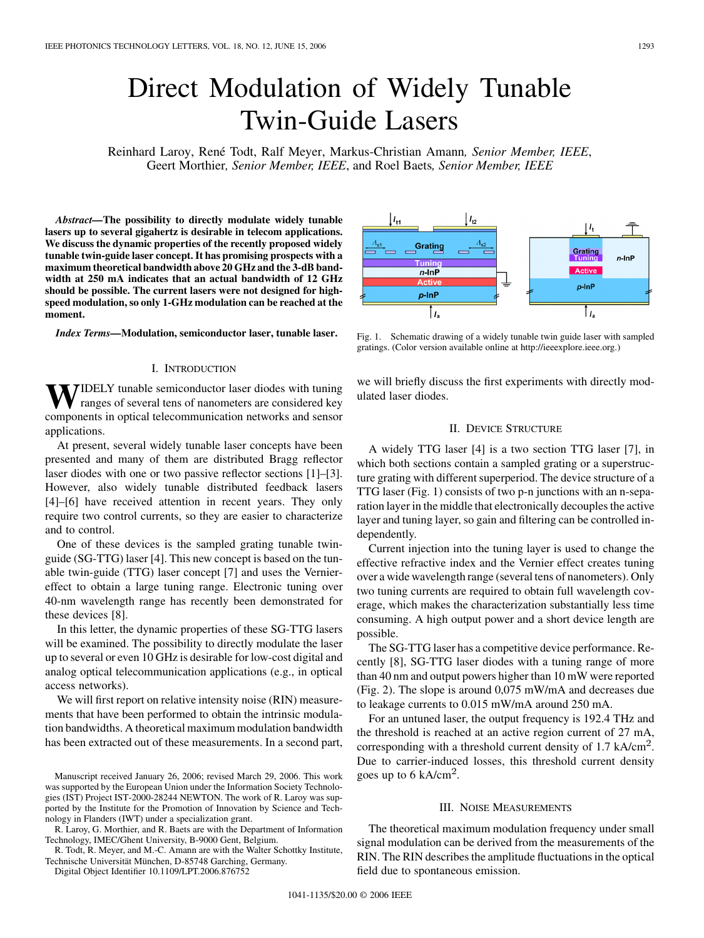# Direct Modulation of Widely Tunable Twin-Guide Lasers

Reinhard Laroy, René Todt, Ralf Meyer, Markus-Christian Amann*, Senior Member, IEEE*, Geert Morthier*, Senior Member, IEEE*, and Roel Baets*, Senior Member, IEEE*

*Abstract—***The possibility to directly modulate widely tunable lasers up to several gigahertz is desirable in telecom applications. We discuss the dynamic properties of the recently proposed widely tunable twin-guide laser concept. It has promising prospects with a maximum theoretical bandwidth above 20 GHz and the 3-dB bandwidth at 250 mA indicates that an actual bandwidth of 12 GHz should be possible. The current lasers were not designed for highspeed modulation, so only 1-GHz modulation can be reached at the moment.**

*Index Terms—***Modulation, semiconductor laser, tunable laser.**

#### I. INTRODUCTION

**TIDELY** tunable semiconductor laser diodes with tuning ranges of several tens of nanometers are considered key components in optical telecommunication networks and sensor applications.

At present, several widely tunable laser concepts have been presented and many of them are distributed Bragg reflector laser diodes with one or two passive reflector sections [[1\]](#page-2-0)–[\[3](#page-2-0)]. However, also widely tunable distributed feedback lasers [\[4](#page-2-0)]–[\[6\]](#page-2-0) have received attention in recent years. They only require two control currents, so they are easier to characterize and to control.

One of these devices is the sampled grating tunable twinguide (SG-TTG) laser [\[4](#page-2-0)]. This new concept is based on the tunable twin-guide (TTG) laser concept [\[7](#page-2-0)] and uses the Verniereffect to obtain a large tuning range. Electronic tuning over 40-nm wavelength range has recently been demonstrated for these devices [\[8](#page-2-0)].

In this letter, the dynamic properties of these SG-TTG lasers will be examined. The possibility to directly modulate the laser up to several or even 10 GHz is desirable for low-cost digital and analog optical telecommunication applications (e.g., in optical access networks).

We will first report on relative intensity noise (RIN) measurements that have been performed to obtain the intrinsic modulation bandwidths. A theoretical maximum modulation bandwidth has been extracted out of these measurements. In a second part,

R. Todt, R. Meyer, and M.-C. Amann are with the Walter Schottky Institute, Technische Universität München, D-85748 Garching, Germany.

Digital Object Identifier 10.1109/LPT.2006.876752

p-InF  $p$ -In $P$  $|I_{a}$  $|I_{a}$ 

Fig. 1. Schematic drawing of a widely tunable twin guide laser with sampled gratings. (Color version available online at http://ieeexplore.ieee.org.)

we will briefly discuss the first experiments with directly modulated laser diodes.

## II. DEVICE STRUCTURE

A widely TTG laser [\[4](#page-2-0)] is a two section TTG laser [\[7](#page-2-0)], in which both sections contain a sampled grating or a superstructure grating with different superperiod. The device structure of a TTG laser (Fig. 1) consists of two p-n junctions with an n-separation layer in the middle that electronically decouples the active layer and tuning layer, so gain and filtering can be controlled independently.

Current injection into the tuning layer is used to change the effective refractive index and the Vernier effect creates tuning over a wide wavelength range (several tens of nanometers). Only two tuning currents are required to obtain full wavelength coverage, which makes the characterization substantially less time consuming. A high output power and a short device length are possible.

The SG-TTG laser has a competitive device performance. Recently [\[8](#page-2-0)], SG-TTG laser diodes with a tuning range of more than 40 nm and output powers higher than 10 mW were reported (Fig. 2). The slope is around 0,075 mW/mA and decreases due to leakage currents to 0.015 mW/mA around 250 mA.

For an untuned laser, the output frequency is 192.4 THz and the threshold is reached at an active region current of 27 mA, corresponding with a threshold current density of  $1.7 \text{ kA/cm}^2$ . Due to carrier-induced losses, this threshold current density goes up to  $6 \text{ kA/cm}^2$ .

## III. NOISE MEASUREMENTS

The theoretical maximum modulation frequency under small signal modulation can be derived from the measurements of the RIN. The RIN describes the amplitude fluctuations in the optical field due to spontaneous emission.



Manuscript received January 26, 2006; revised March 29, 2006. This work was supported by the European Union under the Information Society Technologies (IST) Project IST-2000-28244 NEWTON. The work of R. Laroy was supported by the Institute for the Promotion of Innovation by Science and Technology in Flanders (IWT) under a specialization grant.

R. Laroy, G. Morthier, and R. Baets are with the Department of Information Technology, IMEC/Ghent University, B-9000 Gent, Belgium.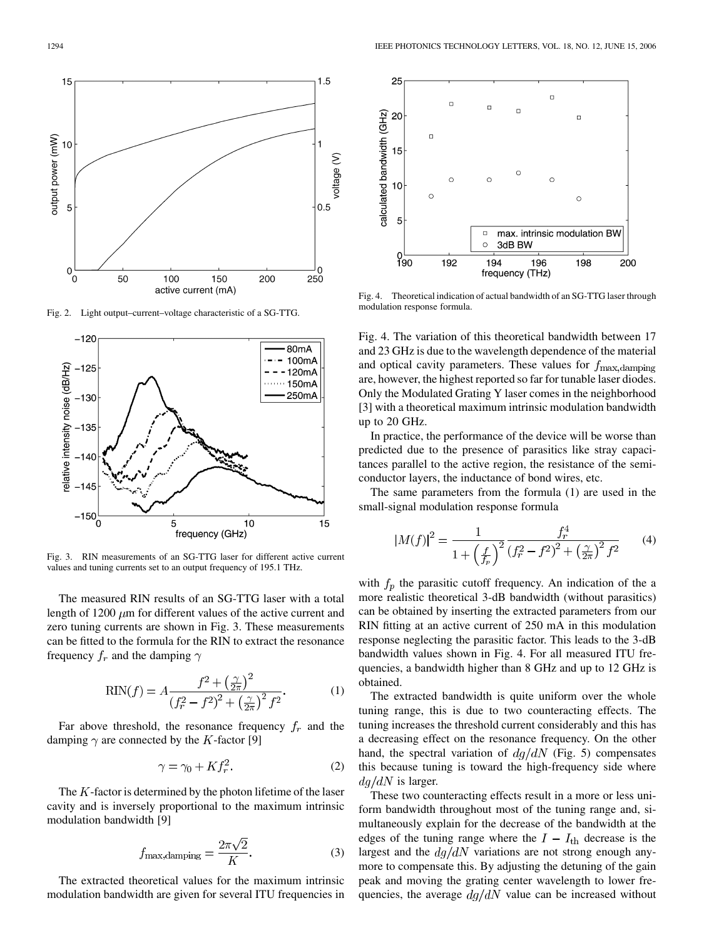

Fig. 2. Light output–current–voltage characteristic of a SG-TTG.



Fig. 3. RIN measurements of an SG-TTG laser for different active current values and tuning currents set to an output frequency of 195.1 THz.

The measured RIN results of an SG-TTG laser with a total length of 1200  $\mu$ m for different values of the active current and zero tuning currents are shown in Fig. 3. These measurements can be fitted to the formula for the RIN to extract the resonance frequency  $f_r$  and the damping  $\gamma$ 

$$
RIN(f) = A \frac{f^2 + \left(\frac{\gamma}{2\pi}\right)^2}{\left(f_r^2 - f^2\right)^2 + \left(\frac{\gamma}{2\pi}\right)^2 f^2}.
$$
 (1)

Far above threshold, the resonance frequency  $f_r$  and the damping  $\gamma$  are connected by the K-factor [[9\]](#page-2-0)

$$
\gamma = \gamma_0 + K f_r^2. \tag{2}
$$

The  $K$ -factor is determined by the photon lifetime of the laser cavity and is inversely proportional to the maximum intrinsic modulation bandwidth [\[9](#page-2-0)]

$$
f_{\text{max,damping}} = \frac{2\pi\sqrt{2}}{K}.
$$
 (3)

The extracted theoretical values for the maximum intrinsic modulation bandwidth are given for several ITU frequencies in



Fig. 4. Theoretical indication of actual bandwidth of an SG-TTG laser through modulation response formula.

Fig. 4. The variation of this theoretical bandwidth between 17 and 23 GHz is due to the wavelength dependence of the material and optical cavity parameters. These values for  $f_{\text{max, damping}}$ are, however, the highest reported so far for tunable laser diodes. Only the Modulated Grating Y laser comes in the neighborhood [[3\]](#page-2-0) with a theoretical maximum intrinsic modulation bandwidth up to 20 GHz.

In practice, the performance of the device will be worse than predicted due to the presence of parasitics like stray capacitances parallel to the active region, the resistance of the semiconductor layers, the inductance of bond wires, etc.

The same parameters from the formula (1) are used in the small-signal modulation response formula

$$
|M(f)|^2 = \frac{1}{1 + \left(\frac{f}{f_p}\right)^2} \frac{f_r^4}{\left(f_r^2 - f^2\right)^2 + \left(\frac{\gamma}{2\pi}\right)^2 f^2} \tag{4}
$$

with  $f_p$  the parasitic cutoff frequency. An indication of the a more realistic theoretical 3-dB bandwidth (without parasitics) can be obtained by inserting the extracted parameters from our RIN fitting at an active current of 250 mA in this modulation response neglecting the parasitic factor. This leads to the 3-dB bandwidth values shown in Fig. 4. For all measured ITU frequencies, a bandwidth higher than 8 GHz and up to 12 GHz is obtained.

The extracted bandwidth is quite uniform over the whole tuning range, this is due to two counteracting effects. The tuning increases the threshold current considerably and this has a decreasing effect on the resonance frequency. On the other hand, the spectral variation of  $dg/dN$  (Fig. 5) compensates this because tuning is toward the high-frequency side where  $dg/dN$  is larger.

These two counteracting effects result in a more or less uniform bandwidth throughout most of the tuning range and, simultaneously explain for the decrease of the bandwidth at the edges of the tuning range where the  $I - I_{\text{th}}$  decrease is the largest and the  $dg/dN$  variations are not strong enough anymore to compensate this. By adjusting the detuning of the gain peak and moving the grating center wavelength to lower frequencies, the average  $dg/dN$  value can be increased without